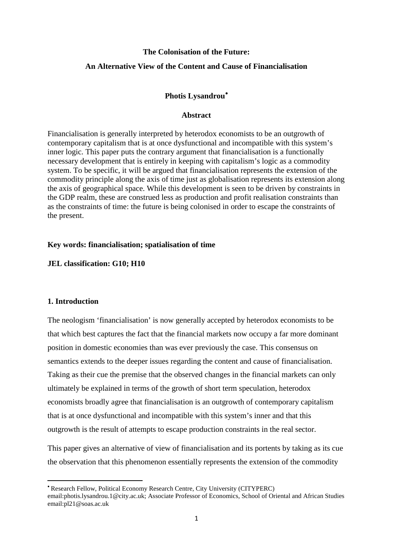## **The Colonisation of the Future:**

## **An Alternative View of the Content and Cause of Financialisation**

### **Photis Lysandrou**[•](#page-0-0)

#### **Abstract**

Financialisation is generally interpreted by heterodox economists to be an outgrowth of contemporary capitalism that is at once dysfunctional and incompatible with this system's inner logic. This paper puts the contrary argument that financialisation is a functionally necessary development that is entirely in keeping with capitalism's logic as a commodity system. To be specific, it will be argued that financialisation represents the extension of the commodity principle along the axis of time just as globalisation represents its extension along the axis of geographical space. While this development is seen to be driven by constraints in the GDP realm, these are construed less as production and profit realisation constraints than as the constraints of time: the future is being colonised in order to escape the constraints of the present.

#### **Key words: financialisation; spatialisation of time**

### **JEL classification: G10; H10**

## **1. Introduction**

**.** 

The neologism 'financialisation' is now generally accepted by heterodox economists to be that which best captures the fact that the financial markets now occupy a far more dominant position in domestic economies than was ever previously the case. This consensus on semantics extends to the deeper issues regarding the content and cause of financialisation. Taking as their cue the premise that the observed changes in the financial markets can only ultimately be explained in terms of the growth of short term speculation, heterodox economists broadly agree that financialisation is an outgrowth of contemporary capitalism that is at once dysfunctional and incompatible with this system's inner and that this outgrowth is the result of attempts to escape production constraints in the real sector.

This paper gives an alternative of view of financialisation and its portents by taking as its cue the observation that this phenomenon essentially represents the extension of the commodity

<span id="page-0-0"></span><sup>•</sup> Research Fellow, Political Economy Research Centre, City University (CITYPERC)

email:photis.lysandrou.1@city.ac.uk; Associate Professor of Economics, School of Oriental and African Studies email:pl21@soas.ac.uk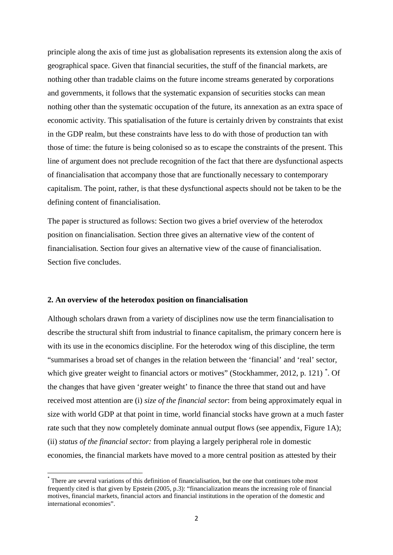principle along the axis of time just as globalisation represents its extension along the axis of geographical space. Given that financial securities, the stuff of the financial markets, are nothing other than tradable claims on the future income streams generated by corporations and governments, it follows that the systematic expansion of securities stocks can mean nothing other than the systematic occupation of the future, its annexation as an extra space of economic activity. This spatialisation of the future is certainly driven by constraints that exist in the GDP realm, but these constraints have less to do with those of production tan with those of time: the future is being colonised so as to escape the constraints of the present. This line of argument does not preclude recognition of the fact that there are dysfunctional aspects of financialisation that accompany those that are functionally necessary to contemporary capitalism. The point, rather, is that these dysfunctional aspects should not be taken to be the defining content of financialisation.

The paper is structured as follows: Section two gives a brief overview of the heterodox position on financialisation. Section three gives an alternative view of the content of financialisation. Section four gives an alternative view of the cause of financialisation. Section five concludes.

#### **2. An overview of the heterodox position on financialisation**

Although scholars drawn from a variety of disciplines now use the term financialisation to describe the structural shift from industrial to finance capitalism, the primary concern here is with its use in the economics discipline. For the heterodox wing of this discipline, the term "summarises a broad set of changes in the relation between the 'financial' and 'real' sector, which give greater weight to financial actors or motives" (Stockhammer, 2012, p. 121)  $*$ . Of the changes that have given 'greater weight' to finance the three that stand out and have received most attention are (i) *size of the financial sector*: from being approximately equal in size with world GDP at that point in time, world financial stocks have grown at a much faster rate such that they now completely dominate annual output flows (see appendix, Figure 1A); (ii) *status of the financial sector:* from playing a largely peripheral role in domestic economies, the financial markets have moved to a more central position as attested by their

<span id="page-1-0"></span> <sup>\*</sup> There are several variations of this definition of financialisation, but the one that continues tobe most frequently cited is that given by Epstein (2005, p.3): "financialization means the increasing role of financial motives, financial markets, financial actors and financial institutions in the operation of the domestic and international economies".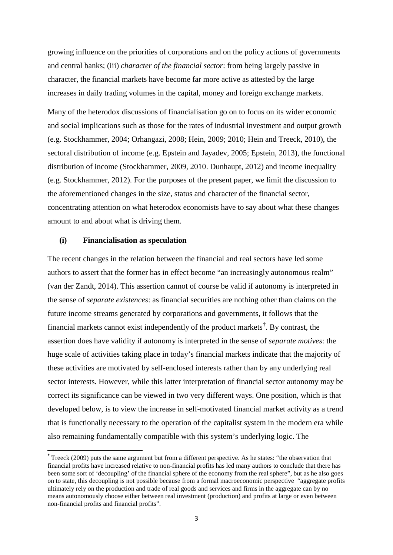growing influence on the priorities of corporations and on the policy actions of governments and central banks; (iii) *character of the financial sector*: from being largely passive in character, the financial markets have become far more active as attested by the large increases in daily trading volumes in the capital, money and foreign exchange markets.

Many of the heterodox discussions of financialisation go on to focus on its wider economic and social implications such as those for the rates of industrial investment and output growth (e.g. Stockhammer, 2004; Orhangazi, 2008; Hein, 2009; 2010; Hein and Treeck, 2010), the sectoral distribution of income (e.g. Epstein and Jayadev, 2005; Epstein, 2013), the functional distribution of income (Stockhammer, 2009, 2010. Dunhaupt, 2012) and income inequality (e.g. Stockhammer, 2012). For the purposes of the present paper, we limit the discussion to the aforementioned changes in the size, status and character of the financial sector, concentrating attention on what heterodox economists have to say about what these changes amount to and about what is driving them.

#### **(i) Financialisation as speculation**

The recent changes in the relation between the financial and real sectors have led some authors to assert that the former has in effect become "an increasingly autonomous realm" (van der Zandt, 2014). This assertion cannot of course be valid if autonomy is interpreted in the sense of *separate existences*: as financial securities are nothing other than claims on the future income streams generated by corporations and governments, it follows that the financial markets cannot exist independently of the product markets<sup>[†](#page-2-0)</sup>. By contrast, the assertion does have validity if autonomy is interpreted in the sense of *separate motives*: the huge scale of activities taking place in today's financial markets indicate that the majority of these activities are motivated by self-enclosed interests rather than by any underlying real sector interests. However, while this latter interpretation of financial sector autonomy may be correct its significance can be viewed in two very different ways. One position, which is that developed below, is to view the increase in self-motivated financial market activity as a trend that is functionally necessary to the operation of the capitalist system in the modern era while also remaining fundamentally compatible with this system's underlying logic. The

<span id="page-2-0"></span> <sup>†</sup> Treeck (2009) puts the same argument but from a different perspective. As he states: "the observation that financial profits have increased relative to non-financial profits has led many authors to conclude that there has been some sort of 'decoupling' of the financial sphere of the economy from the real sphere", but as he also goes on to state, this decoupling is not possible because from a formal macroeconomic perspective "aggregate profits ultimately rely on the production and trade of real goods and services and firms in the aggregate can by no means autonomously choose either between real investment (production) and profits at large or even between non-financial profits and financial profits".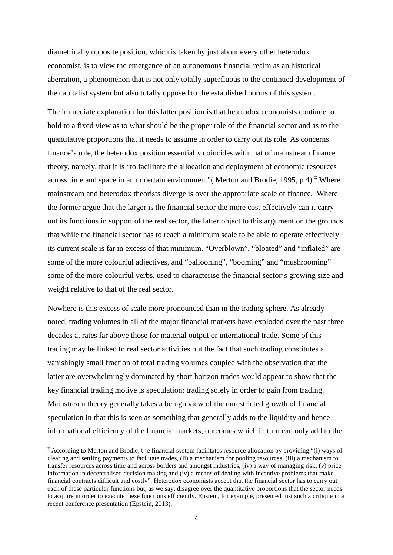diametrically opposite position, which is taken by just about every other heterodox economist, is to view the emergence of an autonomous financial realm as an historical aberration, a phenomenon that is not only totally superfluous to the continued development of the capitalist system but also totally opposed to the established norms of this system.

The immediate explanation for this latter position is that heterodox economists continue to hold to a fixed view as to what should be the proper role of the financial sector and as to the quantitative proportions that it needs to assume in order to carry out its role. As concerns finance's role, the heterodox position essentially coincides with that of mainstream finance theory, namely, that it is "to facilitate the allocation and deployment of economic resources across time and space in an uncertain environment" (Merton and Brodie, 1995, p 4).<sup> $\ddagger$ </sup> Where mainstream and heterodox theorists diverge is over the appropriate scale of finance. Where the former argue that the larger is the financial sector the more cost effectively can it carry out its functions in support of the real sector, the latter object to this argument on the grounds that while the financial sector has to reach a minimum scale to be able to operate effectively its current scale is far in excess of that minimum. "Overblown", "bloated" and "inflated" are some of the more colourful adjectives, and "ballooning", "booming" and "mushrooming" some of the more colourful verbs, used to characterise the financial sector's growing size and weight relative to that of the real sector.

Nowhere is this excess of scale more pronounced than in the trading sphere. As already noted, trading volumes in all of the major financial markets have exploded over the past three decades at rates far above those for material output or international trade. Some of this trading may be linked to real sector activities but the fact that such trading constitutes a vanishingly small fraction of total trading volumes coupled with the observation that the latter are overwhelmingly dominated by short horizon trades would appear to show that the key financial trading motive is speculation: trading solely in order to gain from trading. Mainstream theory generally takes a benign view of the unrestricted growth of financial speculation in that this is seen as something that generally adds to the liquidity and hence informational efficiency of the financial markets, outcomes which in turn can only add to the

 $\overline{a}$ 

<span id="page-3-0"></span><sup>‡</sup> According to Merton and Brodie, the financial system facilitates resource allocation by providing "(i) ways of clearing and settling payments to facilitate trades, (ii) a mechanism for pooling resources, (iii) a mechanism to transfer resources across time and across borders and amongst industries, (iv) a way of managing risk, (v) price information in decentralised decision making and (iv) a means of dealing with incentive problems that make financial contracts difficult and costly". Heterodox economists accept that the financial sector has to carry out each of these particular functions but, as we say, disagree over the quantitative proportions that the sector needs to acquire in order to execute these functions efficiently. Epstein, for example, presented just such a critique in a recent conference presentation (Epstein, 2013).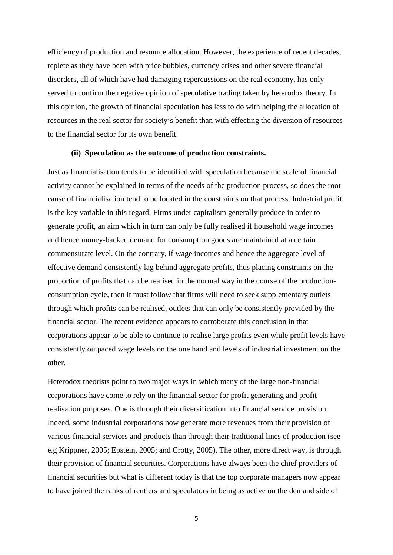efficiency of production and resource allocation. However, the experience of recent decades, replete as they have been with price bubbles, currency crises and other severe financial disorders, all of which have had damaging repercussions on the real economy, has only served to confirm the negative opinion of speculative trading taken by heterodox theory. In this opinion, the growth of financial speculation has less to do with helping the allocation of resources in the real sector for society's benefit than with effecting the diversion of resources to the financial sector for its own benefit.

#### **(ii) Speculation as the outcome of production constraints.**

Just as financialisation tends to be identified with speculation because the scale of financial activity cannot be explained in terms of the needs of the production process, so does the root cause of financialisation tend to be located in the constraints on that process. Industrial profit is the key variable in this regard. Firms under capitalism generally produce in order to generate profit, an aim which in turn can only be fully realised if household wage incomes and hence money-backed demand for consumption goods are maintained at a certain commensurate level. On the contrary, if wage incomes and hence the aggregate level of effective demand consistently lag behind aggregate profits, thus placing constraints on the proportion of profits that can be realised in the normal way in the course of the productionconsumption cycle, then it must follow that firms will need to seek supplementary outlets through which profits can be realised, outlets that can only be consistently provided by the financial sector. The recent evidence appears to corroborate this conclusion in that corporations appear to be able to continue to realise large profits even while profit levels have consistently outpaced wage levels on the one hand and levels of industrial investment on the other.

Heterodox theorists point to two major ways in which many of the large non-financial corporations have come to rely on the financial sector for profit generating and profit realisation purposes. One is through their diversification into financial service provision. Indeed, some industrial corporations now generate more revenues from their provision of various financial services and products than through their traditional lines of production (see e.g Krippner, 2005; Epstein, 2005; and Crotty, 2005). The other, more direct way, is through their provision of financial securities. Corporations have always been the chief providers of financial securities but what is different today is that the top corporate managers now appear to have joined the ranks of rentiers and speculators in being as active on the demand side of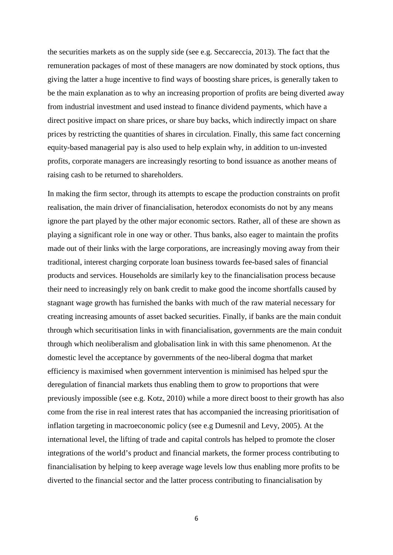the securities markets as on the supply side (see e.g. Seccareccia, 2013). The fact that the remuneration packages of most of these managers are now dominated by stock options, thus giving the latter a huge incentive to find ways of boosting share prices, is generally taken to be the main explanation as to why an increasing proportion of profits are being diverted away from industrial investment and used instead to finance dividend payments, which have a direct positive impact on share prices, or share buy backs, which indirectly impact on share prices by restricting the quantities of shares in circulation. Finally, this same fact concerning equity-based managerial pay is also used to help explain why, in addition to un-invested profits, corporate managers are increasingly resorting to bond issuance as another means of raising cash to be returned to shareholders.

In making the firm sector, through its attempts to escape the production constraints on profit realisation, the main driver of financialisation, heterodox economists do not by any means ignore the part played by the other major economic sectors. Rather, all of these are shown as playing a significant role in one way or other. Thus banks, also eager to maintain the profits made out of their links with the large corporations, are increasingly moving away from their traditional, interest charging corporate loan business towards fee-based sales of financial products and services. Households are similarly key to the financialisation process because their need to increasingly rely on bank credit to make good the income shortfalls caused by stagnant wage growth has furnished the banks with much of the raw material necessary for creating increasing amounts of asset backed securities. Finally, if banks are the main conduit through which securitisation links in with financialisation, governments are the main conduit through which neoliberalism and globalisation link in with this same phenomenon. At the domestic level the acceptance by governments of the neo-liberal dogma that market efficiency is maximised when government intervention is minimised has helped spur the deregulation of financial markets thus enabling them to grow to proportions that were previously impossible (see e.g. Kotz, 2010) while a more direct boost to their growth has also come from the rise in real interest rates that has accompanied the increasing prioritisation of inflation targeting in macroeconomic policy (see e.g Dumesnil and Levy, 2005). At the international level, the lifting of trade and capital controls has helped to promote the closer integrations of the world's product and financial markets, the former process contributing to financialisation by helping to keep average wage levels low thus enabling more profits to be diverted to the financial sector and the latter process contributing to financialisation by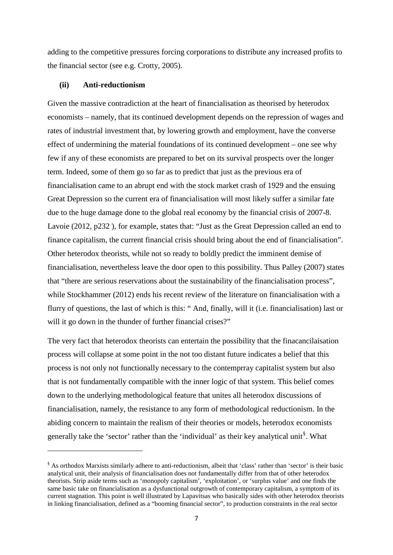adding to the competitive pressures forcing corporations to distribute any increased profits to the financial sector (see e.g. Crotty, 2005).

#### **(ii) Anti-reductionism**

**.** 

Given the massive contradiction at the heart of financialisation as theorised by heterodox economists – namely, that its continued development depends on the repression of wages and rates of industrial investment that, by lowering growth and employment, have the converse effect of undermining the material foundations of its continued development – one see why few if any of these economists are prepared to bet on its survival prospects over the longer term. Indeed, some of them go so far as to predict that just as the previous era of financialisation came to an abrupt end with the stock market crash of 1929 and the ensuing Great Depression so the current era of financialisation will most likely suffer a similar fate due to the huge damage done to the global real economy by the financial crisis of 2007-8. Lavoie (2012, p232 ), for example, states that: "Just as the Great Depression called an end to finance capitalism, the current financial crisis should bring about the end of financialisation". Other heterodox theorists, while not so ready to boldly predict the imminent demise of financialisation, nevertheless leave the door open to this possibility. Thus Palley (2007) states that "there are serious reservations about the sustainability of the financialisation process", while Stockhammer (2012) ends his recent review of the literature on financialisation with a flurry of questions, the last of which is this: " And, finally, will it (i.e. financialisation) last or will it go down in the thunder of further financial crises?"

The very fact that heterodox theorists can entertain the possibility that the finacancilaisation process will collapse at some point in the not too distant future indicates a belief that this process is not only not functionally necessary to the contemprray capitalist system but also that is not fundamentally compatible with the inner logic of that system. This belief comes down to the underlying methodological feature that unites all heterodox discussions of financialisation, namely, the resistance to any form of methodological reductionism. In the abiding concern to maintain the realism of their theories or models, heterodox economists generally take the 'sector' rather than the 'individual' as their key analytical unit<sup>[§](#page-6-0)</sup>. What

<span id="page-6-0"></span><sup>§</sup> As orthodox Marxists similarly adhere to anti-reductionism, albeit that 'class' rather than 'sector' is their basic analytical unit, their analysis of financialisation does not fundamentally differ from that of other heterodox theorists. Strip aside terms such as 'monopoly capitalism', 'exploitation', or 'surplus value' and one finds the same basic take on financialisation as a dysfunctional outgrowth of contemporary capitalism, a symptom of its current stagnation. This point is well illustrated by Lapavitsas who basically sides with other heterodox theorists in linking financialisation, defined as a "booming financial sector", to production constraints in the real sector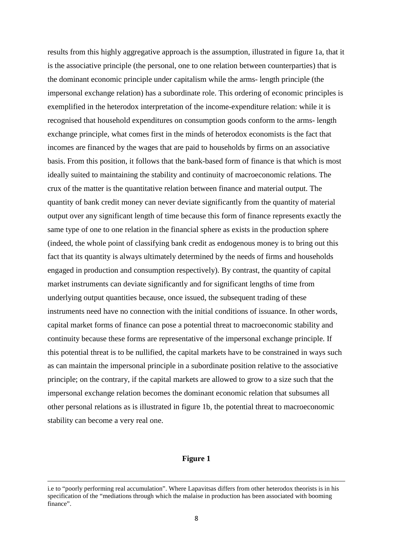results from this highly aggregative approach is the assumption, illustrated in figure 1a, that it is the associative principle (the personal, one to one relation between counterparties) that is the dominant economic principle under capitalism while the arms- length principle (the impersonal exchange relation) has a subordinate role. This ordering of economic principles is exemplified in the heterodox interpretation of the income-expenditure relation: while it is recognised that household expenditures on consumption goods conform to the arms- length exchange principle, what comes first in the minds of heterodox economists is the fact that incomes are financed by the wages that are paid to households by firms on an associative basis. From this position, it follows that the bank-based form of finance is that which is most ideally suited to maintaining the stability and continuity of macroeconomic relations. The crux of the matter is the quantitative relation between finance and material output. The quantity of bank credit money can never deviate significantly from the quantity of material output over any significant length of time because this form of finance represents exactly the same type of one to one relation in the financial sphere as exists in the production sphere (indeed, the whole point of classifying bank credit as endogenous money is to bring out this fact that its quantity is always ultimately determined by the needs of firms and households engaged in production and consumption respectively). By contrast, the quantity of capital market instruments can deviate significantly and for significant lengths of time from underlying output quantities because, once issued, the subsequent trading of these instruments need have no connection with the initial conditions of issuance. In other words, capital market forms of finance can pose a potential threat to macroeconomic stability and continuity because these forms are representative of the impersonal exchange principle. If this potential threat is to be nullified, the capital markets have to be constrained in ways such as can maintain the impersonal principle in a subordinate position relative to the associative principle; on the contrary, if the capital markets are allowed to grow to a size such that the impersonal exchange relation becomes the dominant economic relation that subsumes all other personal relations as is illustrated in figure 1b, the potential threat to macroeconomic stability can become a very real one.

#### **Figure 1**

**.** 

i.e to "poorly performing real accumulation". Where Lapavitsas differs from other heterodox theorists is in his specification of the "mediations through which the malaise in production has been associated with booming finance".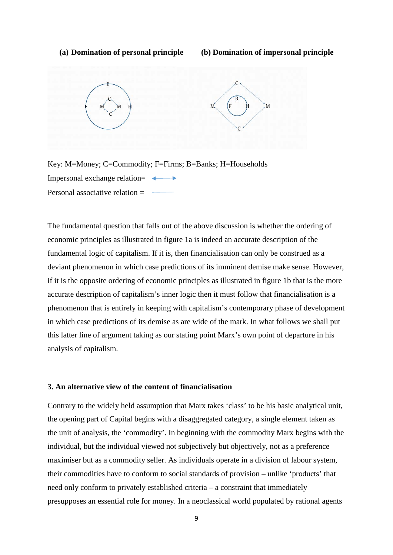#### **(a) Domination of personal principle (b) Domination of impersonal principle**





The fundamental question that falls out of the above discussion is whether the ordering of economic principles as illustrated in figure 1a is indeed an accurate description of the fundamental logic of capitalism. If it is, then financialisation can only be construed as a deviant phenomenon in which case predictions of its imminent demise make sense. However, if it is the opposite ordering of economic principles as illustrated in figure 1b that is the more accurate description of capitalism's inner logic then it must follow that financialisation is a phenomenon that is entirely in keeping with capitalism's contemporary phase of development in which case predictions of its demise as are wide of the mark. In what follows we shall put this latter line of argument taking as our stating point Marx's own point of departure in his analysis of capitalism.

#### **3. An alternative view of the content of financialisation**

Contrary to the widely held assumption that Marx takes 'class' to be his basic analytical unit, the opening part of Capital begins with a disaggregated category, a single element taken as the unit of analysis, the 'commodity'. In beginning with the commodity Marx begins with the individual, but the individual viewed not subjectively but objectively, not as a preference maximiser but as a commodity seller. As individuals operate in a division of labour system, their commodities have to conform to social standards of provision – unlike 'products' that need only conform to privately established criteria – a constraint that immediately presupposes an essential role for money. In a neoclassical world populated by rational agents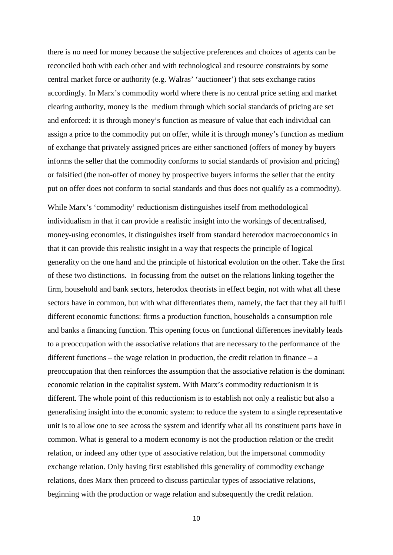there is no need for money because the subjective preferences and choices of agents can be reconciled both with each other and with technological and resource constraints by some central market force or authority (e.g. Walras' 'auctioneer') that sets exchange ratios accordingly. In Marx's commodity world where there is no central price setting and market clearing authority, money is the medium through which social standards of pricing are set and enforced: it is through money's function as measure of value that each individual can assign a price to the commodity put on offer, while it is through money's function as medium of exchange that privately assigned prices are either sanctioned (offers of money by buyers informs the seller that the commodity conforms to social standards of provision and pricing) or falsified (the non-offer of money by prospective buyers informs the seller that the entity put on offer does not conform to social standards and thus does not qualify as a commodity).

While Marx's 'commodity' reductionism distinguishes itself from methodological individualism in that it can provide a realistic insight into the workings of decentralised, money-using economies, it distinguishes itself from standard heterodox macroeconomics in that it can provide this realistic insight in a way that respects the principle of logical generality on the one hand and the principle of historical evolution on the other. Take the first of these two distinctions. In focussing from the outset on the relations linking together the firm, household and bank sectors, heterodox theorists in effect begin, not with what all these sectors have in common, but with what differentiates them, namely, the fact that they all fulfil different economic functions: firms a production function, households a consumption role and banks a financing function. This opening focus on functional differences inevitably leads to a preoccupation with the associative relations that are necessary to the performance of the different functions – the wage relation in production, the credit relation in finance – a preoccupation that then reinforces the assumption that the associative relation is the dominant economic relation in the capitalist system. With Marx's commodity reductionism it is different. The whole point of this reductionism is to establish not only a realistic but also a generalising insight into the economic system: to reduce the system to a single representative unit is to allow one to see across the system and identify what all its constituent parts have in common. What is general to a modern economy is not the production relation or the credit relation, or indeed any other type of associative relation, but the impersonal commodity exchange relation. Only having first established this generality of commodity exchange relations, does Marx then proceed to discuss particular types of associative relations, beginning with the production or wage relation and subsequently the credit relation.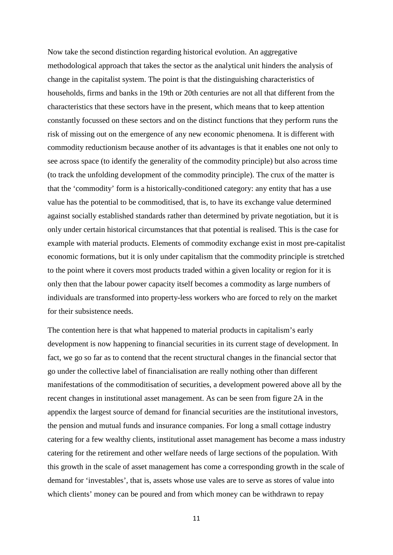Now take the second distinction regarding historical evolution. An aggregative methodological approach that takes the sector as the analytical unit hinders the analysis of change in the capitalist system. The point is that the distinguishing characteristics of households, firms and banks in the 19th or 20th centuries are not all that different from the characteristics that these sectors have in the present, which means that to keep attention constantly focussed on these sectors and on the distinct functions that they perform runs the risk of missing out on the emergence of any new economic phenomena. It is different with commodity reductionism because another of its advantages is that it enables one not only to see across space (to identify the generality of the commodity principle) but also across time (to track the unfolding development of the commodity principle). The crux of the matter is that the 'commodity' form is a historically-conditioned category: any entity that has a use value has the potential to be commoditised, that is, to have its exchange value determined against socially established standards rather than determined by private negotiation, but it is only under certain historical circumstances that that potential is realised. This is the case for example with material products. Elements of commodity exchange exist in most pre-capitalist economic formations, but it is only under capitalism that the commodity principle is stretched to the point where it covers most products traded within a given locality or region for it is only then that the labour power capacity itself becomes a commodity as large numbers of individuals are transformed into property-less workers who are forced to rely on the market for their subsistence needs.

The contention here is that what happened to material products in capitalism's early development is now happening to financial securities in its current stage of development. In fact, we go so far as to contend that the recent structural changes in the financial sector that go under the collective label of financialisation are really nothing other than different manifestations of the commoditisation of securities, a development powered above all by the recent changes in institutional asset management. As can be seen from figure 2A in the appendix the largest source of demand for financial securities are the institutional investors, the pension and mutual funds and insurance companies. For long a small cottage industry catering for a few wealthy clients, institutional asset management has become a mass industry catering for the retirement and other welfare needs of large sections of the population. With this growth in the scale of asset management has come a corresponding growth in the scale of demand for 'investables', that is, assets whose use vales are to serve as stores of value into which clients' money can be poured and from which money can be withdrawn to repay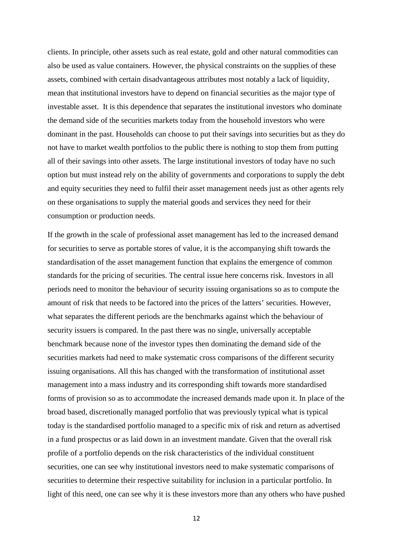clients. In principle, other assets such as real estate, gold and other natural commodities can also be used as value containers. However, the physical constraints on the supplies of these assets, combined with certain disadvantageous attributes most notably a lack of liquidity, mean that institutional investors have to depend on financial securities as the major type of investable asset. It is this dependence that separates the institutional investors who dominate the demand side of the securities markets today from the household investors who were dominant in the past. Households can choose to put their savings into securities but as they do not have to market wealth portfolios to the public there is nothing to stop them from putting all of their savings into other assets. The large institutional investors of today have no such option but must instead rely on the ability of governments and corporations to supply the debt and equity securities they need to fulfil their asset management needs just as other agents rely on these organisations to supply the material goods and services they need for their consumption or production needs.

If the growth in the scale of professional asset management has led to the increased demand for securities to serve as portable stores of value, it is the accompanying shift towards the standardisation of the asset management function that explains the emergence of common standards for the pricing of securities. The central issue here concerns risk. Investors in all periods need to monitor the behaviour of security issuing organisations so as to compute the amount of risk that needs to be factored into the prices of the latters' securities. However, what separates the different periods are the benchmarks against which the behaviour of security issuers is compared. In the past there was no single, universally acceptable benchmark because none of the investor types then dominating the demand side of the securities markets had need to make systematic cross comparisons of the different security issuing organisations. All this has changed with the transformation of institutional asset management into a mass industry and its corresponding shift towards more standardised forms of provision so as to accommodate the increased demands made upon it. In place of the broad based, discretionally managed portfolio that was previously typical what is typical today is the standardised portfolio managed to a specific mix of risk and return as advertised in a fund prospectus or as laid down in an investment mandate. Given that the overall risk profile of a portfolio depends on the risk characteristics of the individual constituent securities, one can see why institutional investors need to make systematic comparisons of securities to determine their respective suitability for inclusion in a particular portfolio. In light of this need, one can see why it is these investors more than any others who have pushed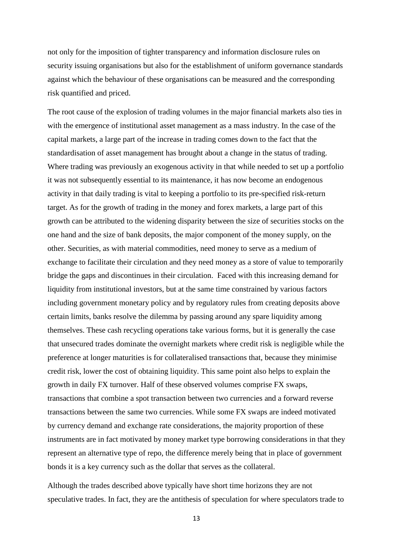not only for the imposition of tighter transparency and information disclosure rules on security issuing organisations but also for the establishment of uniform governance standards against which the behaviour of these organisations can be measured and the corresponding risk quantified and priced.

The root cause of the explosion of trading volumes in the major financial markets also ties in with the emergence of institutional asset management as a mass industry. In the case of the capital markets, a large part of the increase in trading comes down to the fact that the standardisation of asset management has brought about a change in the status of trading. Where trading was previously an exogenous activity in that while needed to set up a portfolio it was not subsequently essential to its maintenance, it has now become an endogenous activity in that daily trading is vital to keeping a portfolio to its pre-specified risk-return target. As for the growth of trading in the money and forex markets, a large part of this growth can be attributed to the widening disparity between the size of securities stocks on the one hand and the size of bank deposits, the major component of the money supply, on the other. Securities, as with material commodities, need money to serve as a medium of exchange to facilitate their circulation and they need money as a store of value to temporarily bridge the gaps and discontinues in their circulation. Faced with this increasing demand for liquidity from institutional investors, but at the same time constrained by various factors including government monetary policy and by regulatory rules from creating deposits above certain limits, banks resolve the dilemma by passing around any spare liquidity among themselves. These cash recycling operations take various forms, but it is generally the case that unsecured trades dominate the overnight markets where credit risk is negligible while the preference at longer maturities is for collateralised transactions that, because they minimise credit risk, lower the cost of obtaining liquidity. This same point also helps to explain the growth in daily FX turnover. Half of these observed volumes comprise FX swaps, transactions that combine a spot transaction between two currencies and a forward reverse transactions between the same two currencies. While some FX swaps are indeed motivated by currency demand and exchange rate considerations, the majority proportion of these instruments are in fact motivated by money market type borrowing considerations in that they represent an alternative type of repo, the difference merely being that in place of government bonds it is a key currency such as the dollar that serves as the collateral.

Although the trades described above typically have short time horizons they are not speculative trades. In fact, they are the antithesis of speculation for where speculators trade to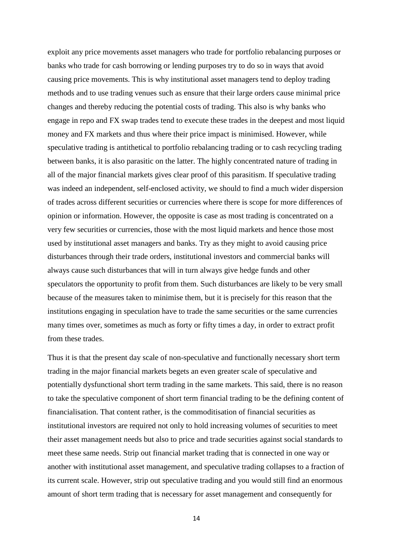exploit any price movements asset managers who trade for portfolio rebalancing purposes or banks who trade for cash borrowing or lending purposes try to do so in ways that avoid causing price movements. This is why institutional asset managers tend to deploy trading methods and to use trading venues such as ensure that their large orders cause minimal price changes and thereby reducing the potential costs of trading. This also is why banks who engage in repo and FX swap trades tend to execute these trades in the deepest and most liquid money and FX markets and thus where their price impact is minimised. However, while speculative trading is antithetical to portfolio rebalancing trading or to cash recycling trading between banks, it is also parasitic on the latter. The highly concentrated nature of trading in all of the major financial markets gives clear proof of this parasitism. If speculative trading was indeed an independent, self-enclosed activity, we should to find a much wider dispersion of trades across different securities or currencies where there is scope for more differences of opinion or information. However, the opposite is case as most trading is concentrated on a very few securities or currencies, those with the most liquid markets and hence those most used by institutional asset managers and banks. Try as they might to avoid causing price disturbances through their trade orders, institutional investors and commercial banks will always cause such disturbances that will in turn always give hedge funds and other speculators the opportunity to profit from them. Such disturbances are likely to be very small because of the measures taken to minimise them, but it is precisely for this reason that the institutions engaging in speculation have to trade the same securities or the same currencies many times over, sometimes as much as forty or fifty times a day, in order to extract profit from these trades.

Thus it is that the present day scale of non-speculative and functionally necessary short term trading in the major financial markets begets an even greater scale of speculative and potentially dysfunctional short term trading in the same markets. This said, there is no reason to take the speculative component of short term financial trading to be the defining content of financialisation. That content rather, is the commoditisation of financial securities as institutional investors are required not only to hold increasing volumes of securities to meet their asset management needs but also to price and trade securities against social standards to meet these same needs. Strip out financial market trading that is connected in one way or another with institutional asset management, and speculative trading collapses to a fraction of its current scale. However, strip out speculative trading and you would still find an enormous amount of short term trading that is necessary for asset management and consequently for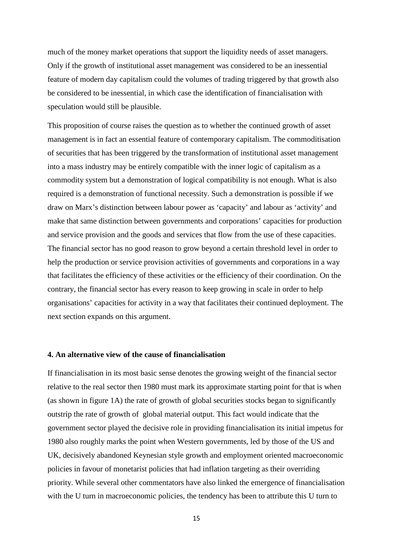much of the money market operations that support the liquidity needs of asset managers. Only if the growth of institutional asset management was considered to be an inessential feature of modern day capitalism could the volumes of trading triggered by that growth also be considered to be inessential, in which case the identification of financialisation with speculation would still be plausible.

This proposition of course raises the question as to whether the continued growth of asset management is in fact an essential feature of contemporary capitalism. The commoditisation of securities that has been triggered by the transformation of institutional asset management into a mass industry may be entirely compatible with the inner logic of capitalism as a commodity system but a demonstration of logical compatibility is not enough. What is also required is a demonstration of functional necessity. Such a demonstration is possible if we draw on Marx's distinction between labour power as 'capacity' and labour as 'activity' and make that same distinction between governments and corporations' capacities for production and service provision and the goods and services that flow from the use of these capacities. The financial sector has no good reason to grow beyond a certain threshold level in order to help the production or service provision activities of governments and corporations in a way that facilitates the efficiency of these activities or the efficiency of their coordination. On the contrary, the financial sector has every reason to keep growing in scale in order to help organisations' capacities for activity in a way that facilitates their continued deployment. The next section expands on this argument.

#### **4. An alternative view of the cause of financialisation**

If financialisation in its most basic sense denotes the growing weight of the financial sector relative to the real sector then 1980 must mark its approximate starting point for that is when (as shown in figure 1A) the rate of growth of global securities stocks began to significantly outstrip the rate of growth of global material output. This fact would indicate that the government sector played the decisive role in providing financialisation its initial impetus for 1980 also roughly marks the point when Western governments, led by those of the US and UK, decisively abandoned Keynesian style growth and employment oriented macroeconomic policies in favour of monetarist policies that had inflation targeting as their overriding priority. While several other commentators have also linked the emergence of financialisation with the U turn in macroeconomic policies, the tendency has been to attribute this U turn to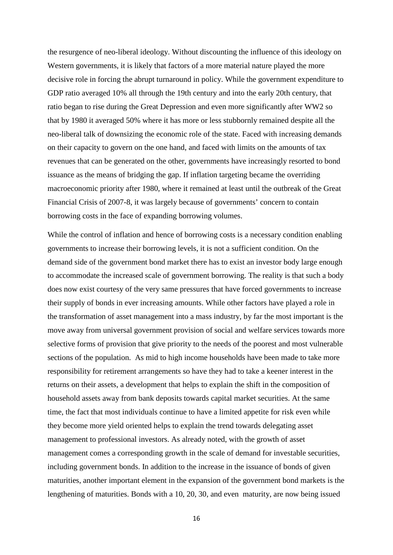the resurgence of neo-liberal ideology. Without discounting the influence of this ideology on Western governments, it is likely that factors of a more material nature played the more decisive role in forcing the abrupt turnaround in policy. While the government expenditure to GDP ratio averaged 10% all through the 19th century and into the early 20th century, that ratio began to rise during the Great Depression and even more significantly after WW2 so that by 1980 it averaged 50% where it has more or less stubbornly remained despite all the neo-liberal talk of downsizing the economic role of the state. Faced with increasing demands on their capacity to govern on the one hand, and faced with limits on the amounts of tax revenues that can be generated on the other, governments have increasingly resorted to bond issuance as the means of bridging the gap. If inflation targeting became the overriding macroeconomic priority after 1980, where it remained at least until the outbreak of the Great Financial Crisis of 2007-8, it was largely because of governments' concern to contain borrowing costs in the face of expanding borrowing volumes.

While the control of inflation and hence of borrowing costs is a necessary condition enabling governments to increase their borrowing levels, it is not a sufficient condition. On the demand side of the government bond market there has to exist an investor body large enough to accommodate the increased scale of government borrowing. The reality is that such a body does now exist courtesy of the very same pressures that have forced governments to increase their supply of bonds in ever increasing amounts. While other factors have played a role in the transformation of asset management into a mass industry, by far the most important is the move away from universal government provision of social and welfare services towards more selective forms of provision that give priority to the needs of the poorest and most vulnerable sections of the population. As mid to high income households have been made to take more responsibility for retirement arrangements so have they had to take a keener interest in the returns on their assets, a development that helps to explain the shift in the composition of household assets away from bank deposits towards capital market securities. At the same time, the fact that most individuals continue to have a limited appetite for risk even while they become more yield oriented helps to explain the trend towards delegating asset management to professional investors. As already noted, with the growth of asset management comes a corresponding growth in the scale of demand for investable securities, including government bonds. In addition to the increase in the issuance of bonds of given maturities, another important element in the expansion of the government bond markets is the lengthening of maturities. Bonds with a 10, 20, 30, and even maturity, are now being issued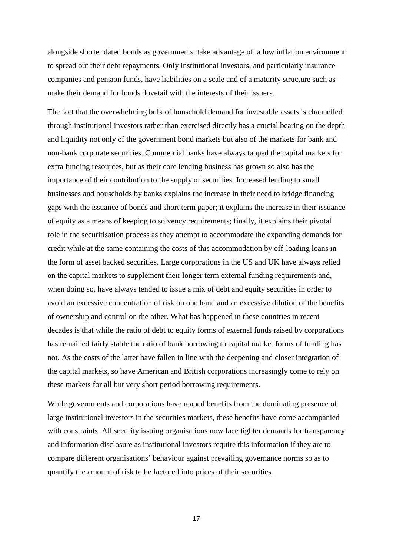alongside shorter dated bonds as governments take advantage of a low inflation environment to spread out their debt repayments. Only institutional investors, and particularly insurance companies and pension funds, have liabilities on a scale and of a maturity structure such as make their demand for bonds dovetail with the interests of their issuers.

The fact that the overwhelming bulk of household demand for investable assets is channelled through institutional investors rather than exercised directly has a crucial bearing on the depth and liquidity not only of the government bond markets but also of the markets for bank and non-bank corporate securities. Commercial banks have always tapped the capital markets for extra funding resources, but as their core lending business has grown so also has the importance of their contribution to the supply of securities. Increased lending to small businesses and households by banks explains the increase in their need to bridge financing gaps with the issuance of bonds and short term paper; it explains the increase in their issuance of equity as a means of keeping to solvency requirements; finally, it explains their pivotal role in the securitisation process as they attempt to accommodate the expanding demands for credit while at the same containing the costs of this accommodation by off-loading loans in the form of asset backed securities. Large corporations in the US and UK have always relied on the capital markets to supplement their longer term external funding requirements and, when doing so, have always tended to issue a mix of debt and equity securities in order to avoid an excessive concentration of risk on one hand and an excessive dilution of the benefits of ownership and control on the other. What has happened in these countries in recent decades is that while the ratio of debt to equity forms of external funds raised by corporations has remained fairly stable the ratio of bank borrowing to capital market forms of funding has not. As the costs of the latter have fallen in line with the deepening and closer integration of the capital markets, so have American and British corporations increasingly come to rely on these markets for all but very short period borrowing requirements.

While governments and corporations have reaped benefits from the dominating presence of large institutional investors in the securities markets, these benefits have come accompanied with constraints. All security issuing organisations now face tighter demands for transparency and information disclosure as institutional investors require this information if they are to compare different organisations' behaviour against prevailing governance norms so as to quantify the amount of risk to be factored into prices of their securities.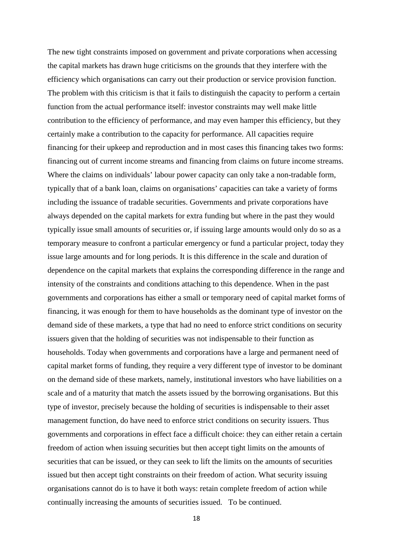The new tight constraints imposed on government and private corporations when accessing the capital markets has drawn huge criticisms on the grounds that they interfere with the efficiency which organisations can carry out their production or service provision function. The problem with this criticism is that it fails to distinguish the capacity to perform a certain function from the actual performance itself: investor constraints may well make little contribution to the efficiency of performance, and may even hamper this efficiency, but they certainly make a contribution to the capacity for performance. All capacities require financing for their upkeep and reproduction and in most cases this financing takes two forms: financing out of current income streams and financing from claims on future income streams. Where the claims on individuals' labour power capacity can only take a non-tradable form, typically that of a bank loan, claims on organisations' capacities can take a variety of forms including the issuance of tradable securities. Governments and private corporations have always depended on the capital markets for extra funding but where in the past they would typically issue small amounts of securities or, if issuing large amounts would only do so as a temporary measure to confront a particular emergency or fund a particular project, today they issue large amounts and for long periods. It is this difference in the scale and duration of dependence on the capital markets that explains the corresponding difference in the range and intensity of the constraints and conditions attaching to this dependence. When in the past governments and corporations has either a small or temporary need of capital market forms of financing, it was enough for them to have households as the dominant type of investor on the demand side of these markets, a type that had no need to enforce strict conditions on security issuers given that the holding of securities was not indispensable to their function as households. Today when governments and corporations have a large and permanent need of capital market forms of funding, they require a very different type of investor to be dominant on the demand side of these markets, namely, institutional investors who have liabilities on a scale and of a maturity that match the assets issued by the borrowing organisations. But this type of investor, precisely because the holding of securities is indispensable to their asset management function, do have need to enforce strict conditions on security issuers. Thus governments and corporations in effect face a difficult choice: they can either retain a certain freedom of action when issuing securities but then accept tight limits on the amounts of securities that can be issued, or they can seek to lift the limits on the amounts of securities issued but then accept tight constraints on their freedom of action. What security issuing organisations cannot do is to have it both ways: retain complete freedom of action while continually increasing the amounts of securities issued. To be continued.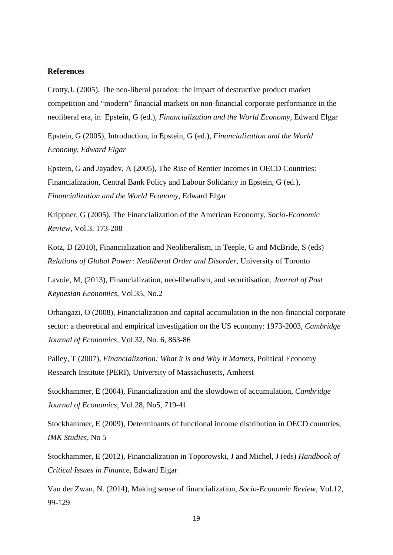#### **References**

Crotty,J. (2005), The neo-liberal paradox: the impact of destructive product market competition and "modern" financial markets on non-financial corporate performance in the neoliberal era, in Epstein, G (ed.), *Financialization and the World Economy*, Edward Elgar

Epstein, G (2005), Introduction, in Epstein, G (ed.), *Financialization and the World Economy, Edward Elgar*

Epstein, G and Jayadev, A (2005), The Rise of Rentier Incomes in OECD Countries: Financialization, Central Bank Policy and Labour Solidarity in Epstein, G (ed.), *Financialization and the World Economy*, Edward Elgar

Krippner, G (2005), The Financialization of the American Economy, *Socio-Economic Review*, Vol.3, 173-208

Kotz, D (2010), Financialization and Neoliberalism, in Teeple, G and McBride, S (eds) *Relations of Global Power: Neoliberal Order and Disorder*, University of Toronto

Lavoie, M, (2013), Financialization, neo-liberalism, and securitisation, *Journal of Post Keynesian Economics,* Vol.35, No.2

Orhangazi, O (2008), Financialization and capital accumulation in the non-financial corporate sector: a theoretical and empirical investigation on the US economy: 1973-2003*, Cambridge Journal of Economics,* Vol.32, No. 6, 863-86

Palley, T (2007), *Financialization: What it is and Why it Matters*, Political Economy Research Institute (PERI), University of Massachusetts, Amherst

Stockhammer, E (2004), Financialization and the slowdown of accumulation, *Cambridge Journal of Economics*, Vol.28, No5, 719-41

Stockhammer, E (2009), Determinants of functional income distribution in OECD countries, *IMK Studies*, No 5

Stockhammer, E (2012), Financialization in Toporowski, J and Michel, J (eds) *Handbook of Critical Issues in Finance,* Edward Elgar

Van der Zwan, N. (2014), Making sense of financialization, *Socio-Economic Review*, Vol.12, 99-129